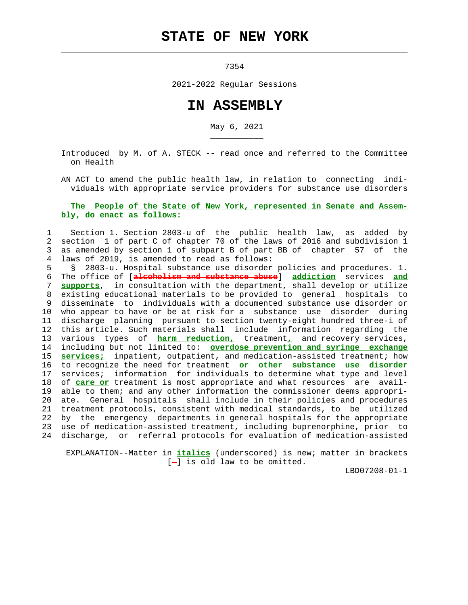## **STATE OF NEW YORK**

 $\mathcal{L}_\text{max} = \frac{1}{2} \sum_{i=1}^{n} \frac{1}{2} \sum_{i=1}^{n} \frac{1}{2} \sum_{i=1}^{n} \frac{1}{2} \sum_{i=1}^{n} \frac{1}{2} \sum_{i=1}^{n} \frac{1}{2} \sum_{i=1}^{n} \frac{1}{2} \sum_{i=1}^{n} \frac{1}{2} \sum_{i=1}^{n} \frac{1}{2} \sum_{i=1}^{n} \frac{1}{2} \sum_{i=1}^{n} \frac{1}{2} \sum_{i=1}^{n} \frac{1}{2} \sum_{i=1}^{n} \frac{1$ 

\_\_\_\_\_\_\_\_\_\_\_

7354

2021-2022 Regular Sessions

## **IN ASSEMBLY**

May 6, 2021

 Introduced by M. of A. STECK -- read once and referred to the Committee on Health

 AN ACT to amend the public health law, in relation to connecting indi viduals with appropriate service providers for substance use disorders

## **The People of the State of New York, represented in Senate and Assem bly, do enact as follows:**

## 1 Section 1. Section 2803-u of the public health law, as added by 2 section 1 of part C of chapter 70 of the laws of 2016 and subdivision 1 3 as amended by section 1 of subpart B of part BB of chapter 57 of the 4 laws of 2019, is amended to read as follows:

 5 § 2803-u. Hospital substance use disorder policies and procedures. 1. 6 The office of [**alcoholism and substance abuse**] **addiction** services **and** 7 **supports**, in consultation with the department, shall develop or utilize 8 existing educational materials to be provided to general hospitals to 9 disseminate to individuals with a documented substance use disorder or 10 who appear to have or be at risk for a substance use disorder during 11 discharge planning pursuant to section twenty-eight hundred three-i of 12 this article. Such materials shall include information regarding the 13 various types of **harm reduction,** treatment**,** and recovery services, 14 including but not limited to: **overdose prevention and syringe exchange** 15 **services;** inpatient, outpatient, and medication-assisted treatment; how 16 to recognize the need for treatment **or other substance use disorder** 17 services; information for individuals to determine what type and level 18 of **care or** treatment is most appropriate and what resources are avail- 19 able to them; and any other information the commissioner deems appropri- 20 ate. General hospitals shall include in their policies and procedures 21 treatment protocols, consistent with medical standards, to be utilized 22 by the emergency departments in general hospitals for the appropriate 23 use of medication-assisted treatment, including buprenorphine, prior to 24 discharge, or referral protocols for evaluation of medication-assisted

 EXPLANATION--Matter in **italics** (underscored) is new; matter in brackets  $[-]$  is old law to be omitted.

LBD07208-01-1